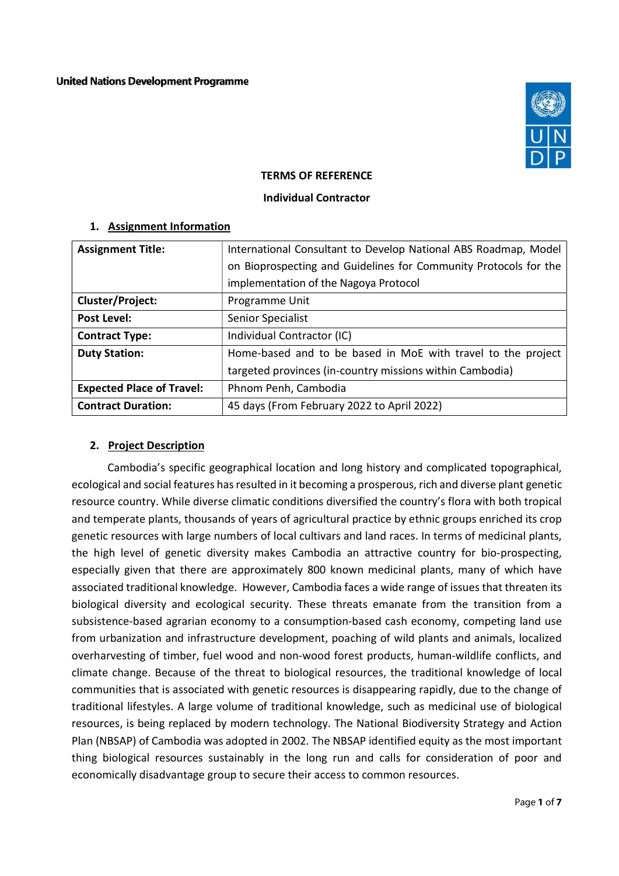

#### TERMS OF REFERENCE

#### Individual Contractor

| <b>Assignment Title:</b>         | International Consultant to Develop National ABS Roadmap, Model  |  |  |
|----------------------------------|------------------------------------------------------------------|--|--|
|                                  | on Bioprospecting and Guidelines for Community Protocols for the |  |  |
|                                  | implementation of the Nagoya Protocol                            |  |  |
| Cluster/Project:                 | Programme Unit                                                   |  |  |
| <b>Post Level:</b>               | Senior Specialist                                                |  |  |
| <b>Contract Type:</b>            | Individual Contractor (IC)                                       |  |  |
| <b>Duty Station:</b>             | Home-based and to be based in MoE with travel to the project     |  |  |
|                                  | targeted provinces (in-country missions within Cambodia)         |  |  |
| <b>Expected Place of Travel:</b> | Phnom Penh, Cambodia                                             |  |  |
| <b>Contract Duration:</b>        | 45 days (From February 2022 to April 2022)                       |  |  |

#### 1. Assignment Information

#### 2. Project Description

Cambodia's specific geographical location and long history and complicated topographical, ecological and social features has resulted in it becoming a prosperous, rich and diverse plant genetic resource country. While diverse climatic conditions diversified the country's flora with both tropical and temperate plants, thousands of years of agricultural practice by ethnic groups enriched its crop genetic resources with large numbers of local cultivars and land races. In terms of medicinal plants, the high level of genetic diversity makes Cambodia an attractive country for bio-prospecting, especially given that there are approximately 800 known medicinal plants, many of which have associated traditional knowledge. However, Cambodia faces a wide range of issues that threaten its biological diversity and ecological security. These threats emanate from the transition from a subsistence-based agrarian economy to a consumption-based cash economy, competing land use from urbanization and infrastructure development, poaching of wild plants and animals, localized overharvesting of timber, fuel wood and non-wood forest products, human-wildlife conflicts, and climate change. Because of the threat to biological resources, the traditional knowledge of local communities that is associated with genetic resources is disappearing rapidly, due to the change of traditional lifestyles. A large volume of traditional knowledge, such as medicinal use of biological resources, is being replaced by modern technology. The National Biodiversity Strategy and Action Plan (NBSAP) of Cambodia was adopted in 2002. The NBSAP identified equity as the most important thing biological resources sustainably in the long run and calls for consideration of poor and economically disadvantage group to secure their access to common resources.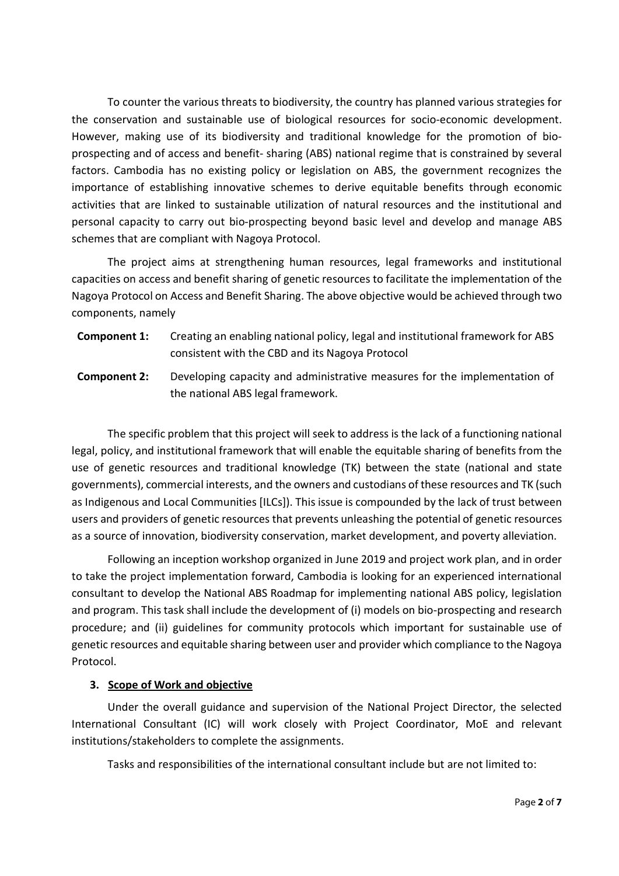To counter the various threats to biodiversity, the country has planned various strategies for the conservation and sustainable use of biological resources for socio-economic development. However, making use of its biodiversity and traditional knowledge for the promotion of bioprospecting and of access and benefit- sharing (ABS) national regime that is constrained by several factors. Cambodia has no existing policy or legislation on ABS, the government recognizes the importance of establishing innovative schemes to derive equitable benefits through economic activities that are linked to sustainable utilization of natural resources and the institutional and personal capacity to carry out bio-prospecting beyond basic level and develop and manage ABS schemes that are compliant with Nagoya Protocol.

The project aims at strengthening human resources, legal frameworks and institutional capacities on access and benefit sharing of genetic resources to facilitate the implementation of the Nagoya Protocol on Access and Benefit Sharing. The above objective would be achieved through two components, namely

- Component 1: Creating an enabling national policy, legal and institutional framework for ABS consistent with the CBD and its Nagoya Protocol
- Component 2: Developing capacity and administrative measures for the implementation of the national ABS legal framework.

The specific problem that this project will seek to address is the lack of a functioning national legal, policy, and institutional framework that will enable the equitable sharing of benefits from the use of genetic resources and traditional knowledge (TK) between the state (national and state governments), commercial interests, and the owners and custodians of these resources and TK (such as Indigenous and Local Communities [ILCs]). This issue is compounded by the lack of trust between users and providers of genetic resources that prevents unleashing the potential of genetic resources as a source of innovation, biodiversity conservation, market development, and poverty alleviation.

Following an inception workshop organized in June 2019 and project work plan, and in order to take the project implementation forward, Cambodia is looking for an experienced international consultant to develop the National ABS Roadmap for implementing national ABS policy, legislation and program. This task shall include the development of (i) models on bio-prospecting and research procedure; and (ii) guidelines for community protocols which important for sustainable use of genetic resources and equitable sharing between user and provider which compliance to the Nagoya Protocol.

#### 3. Scope of Work and objective

Under the overall guidance and supervision of the National Project Director, the selected International Consultant (IC) will work closely with Project Coordinator, MoE and relevant institutions/stakeholders to complete the assignments.

Tasks and responsibilities of the international consultant include but are not limited to: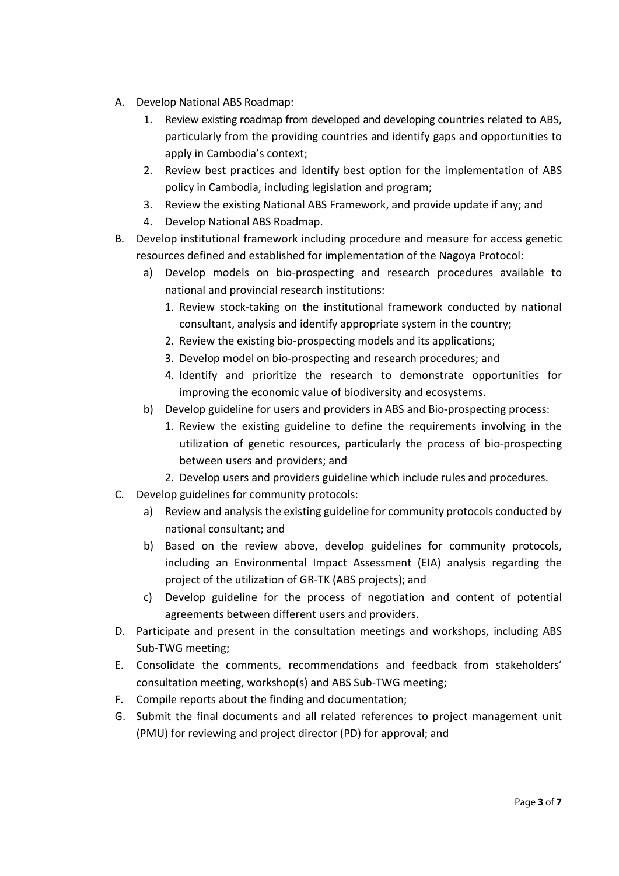- A. Develop National ABS Roadmap:
	- 1. Review existing roadmap from developed and developing countries related to ABS, particularly from the providing countries and identify gaps and opportunities to apply in Cambodia's context;
	- 2. Review best practices and identify best option for the implementation of ABS policy in Cambodia, including legislation and program;
	- 3. Review the existing National ABS Framework, and provide update if any; and
	- 4. Develop National ABS Roadmap.
- B. Develop institutional framework including procedure and measure for access genetic resources defined and established for implementation of the Nagoya Protocol:
	- a) Develop models on bio-prospecting and research procedures available to national and provincial research institutions:
		- 1. Review stock-taking on the institutional framework conducted by national consultant, analysis and identify appropriate system in the country;
		- 2. Review the existing bio-prospecting models and its applications;
		- 3. Develop model on bio-prospecting and research procedures; and
		- 4. Identify and prioritize the research to demonstrate opportunities for improving the economic value of biodiversity and ecosystems.
	- b) Develop guideline for users and providers in ABS and Bio-prospecting process:
		- 1. Review the existing guideline to define the requirements involving in the utilization of genetic resources, particularly the process of bio-prospecting between users and providers; and
		- 2. Develop users and providers guideline which include rules and procedures.
- C. Develop guidelines for community protocols:
	- a) Review and analysis the existing guideline for community protocols conducted by national consultant; and
	- b) Based on the review above, develop guidelines for community protocols, including an Environmental Impact Assessment (EIA) analysis regarding the project of the utilization of GR-TK (ABS projects); and
	- c) Develop guideline for the process of negotiation and content of potential agreements between different users and providers.
- D. Participate and present in the consultation meetings and workshops, including ABS Sub-TWG meeting;
- E. Consolidate the comments, recommendations and feedback from stakeholders' consultation meeting, workshop(s) and ABS Sub-TWG meeting;
- F. Compile reports about the finding and documentation;
- G. Submit the final documents and all related references to project management unit (PMU) for reviewing and project director (PD) for approval; and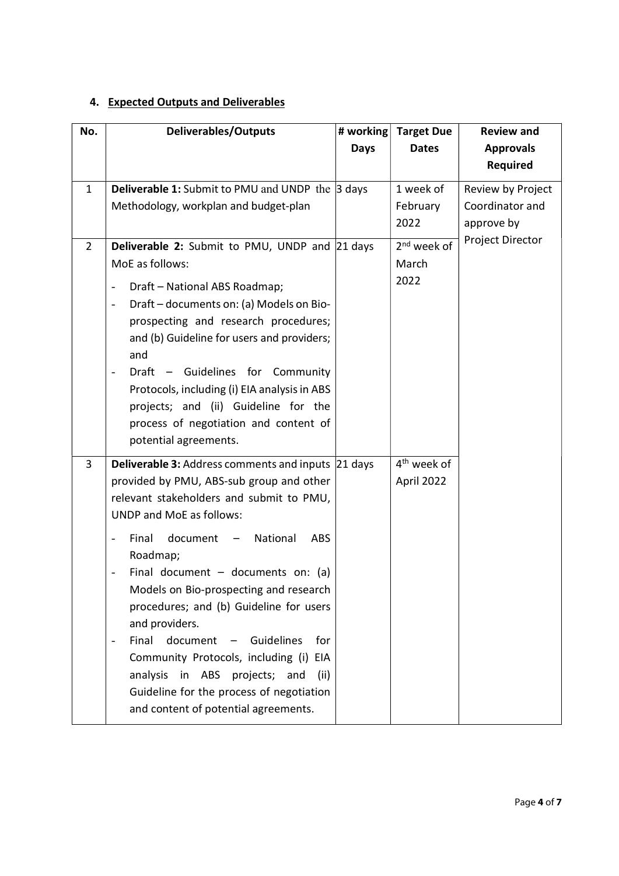## 4. Expected Outputs and Deliverables

| No.            | <b>Deliverables/Outputs</b>                                                                                  | # working   | <b>Target Due</b>       | <b>Review and</b>              |
|----------------|--------------------------------------------------------------------------------------------------------------|-------------|-------------------------|--------------------------------|
|                |                                                                                                              | <b>Days</b> | <b>Dates</b>            | <b>Approvals</b>               |
|                |                                                                                                              |             |                         | <b>Required</b>                |
| $\mathbf{1}$   | <b>Deliverable 1:</b> Submit to PMU and UNDP the $\beta$ days                                                |             | 1 week of               | Review by Project              |
|                | Methodology, workplan and budget-plan                                                                        |             | February<br>2022        | Coordinator and                |
|                |                                                                                                              |             |                         | approve by<br>Project Director |
| $\overline{2}$ | <b>Deliverable 2:</b> Submit to PMU, UNDP and 21 days                                                        |             | $2nd$ week of<br>March  |                                |
|                | MoE as follows:                                                                                              |             | 2022                    |                                |
|                | Draft - National ABS Roadmap;<br>$\qquad \qquad -$                                                           |             |                         |                                |
|                | Draft - documents on: (a) Models on Bio-<br>$\overline{\phantom{0}}$<br>prospecting and research procedures; |             |                         |                                |
|                | and (b) Guideline for users and providers;                                                                   |             |                         |                                |
|                | and                                                                                                          |             |                         |                                |
|                | Draft - Guidelines for Community                                                                             |             |                         |                                |
|                | Protocols, including (i) EIA analysis in ABS                                                                 |             |                         |                                |
|                | projects; and (ii) Guideline for the                                                                         |             |                         |                                |
|                | process of negotiation and content of<br>potential agreements.                                               |             |                         |                                |
|                |                                                                                                              |             | 4 <sup>th</sup> week of |                                |
| 3              | <b>Deliverable 3: Address comments and inputs 21 days</b><br>provided by PMU, ABS-sub group and other        |             | April 2022              |                                |
|                | relevant stakeholders and submit to PMU,                                                                     |             |                         |                                |
|                | <b>UNDP and MoE as follows:</b>                                                                              |             |                         |                                |
|                | Final<br>document<br>National<br><b>ABS</b><br>$\overline{a}$                                                |             |                         |                                |
|                | Roadmap;                                                                                                     |             |                         |                                |
|                | Final document $-$ documents on: (a)                                                                         |             |                         |                                |
|                | Models on Bio-prospecting and research                                                                       |             |                         |                                |
|                | procedures; and (b) Guideline for users<br>and providers.                                                    |             |                         |                                |
|                | document<br>Final<br>Guidelines<br>for<br>$\overline{\phantom{m}}$<br>$\qquad \qquad -$                      |             |                         |                                |
|                | Community Protocols, including (i) EIA                                                                       |             |                         |                                |
|                | analysis in ABS projects;<br>and<br>(ii)                                                                     |             |                         |                                |
|                | Guideline for the process of negotiation                                                                     |             |                         |                                |
|                | and content of potential agreements.                                                                         |             |                         |                                |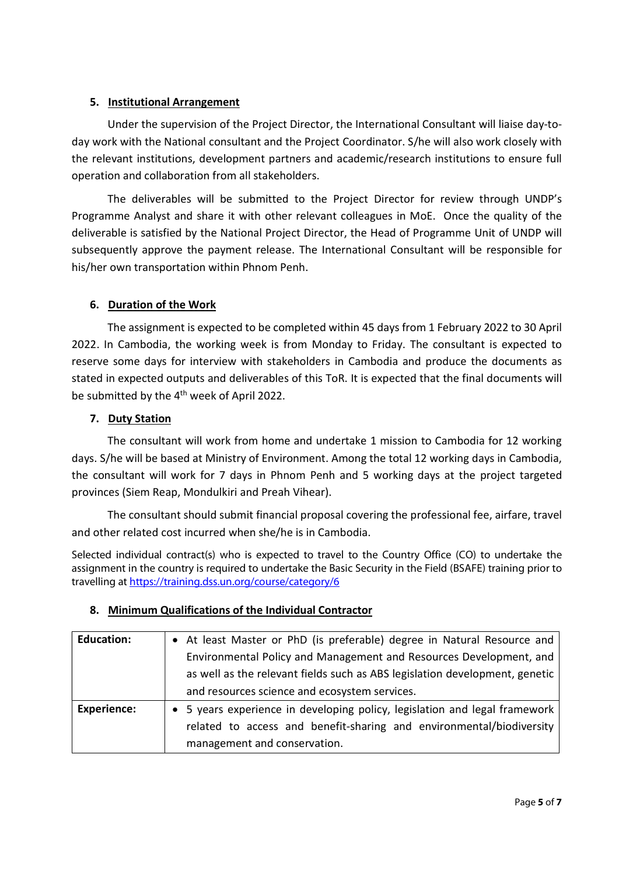### 5. Institutional Arrangement

Under the supervision of the Project Director, the International Consultant will liaise day-today work with the National consultant and the Project Coordinator. S/he will also work closely with the relevant institutions, development partners and academic/research institutions to ensure full operation and collaboration from all stakeholders.

The deliverables will be submitted to the Project Director for review through UNDP's Programme Analyst and share it with other relevant colleagues in MoE. Once the quality of the deliverable is satisfied by the National Project Director, the Head of Programme Unit of UNDP will subsequently approve the payment release. The International Consultant will be responsible for his/her own transportation within Phnom Penh.

### 6. Duration of the Work

The assignment is expected to be completed within 45 days from 1 February 2022 to 30 April 2022. In Cambodia, the working week is from Monday to Friday. The consultant is expected to reserve some days for interview with stakeholders in Cambodia and produce the documents as stated in expected outputs and deliverables of this ToR. It is expected that the final documents will be submitted by the 4<sup>th</sup> week of April 2022.

### 7. Duty Station

The consultant will work from home and undertake 1 mission to Cambodia for 12 working days. S/he will be based at Ministry of Environment. Among the total 12 working days in Cambodia, the consultant will work for 7 days in Phnom Penh and 5 working days at the project targeted provinces (Siem Reap, Mondulkiri and Preah Vihear).

The consultant should submit financial proposal covering the professional fee, airfare, travel and other related cost incurred when she/he is in Cambodia.

Selected individual contract(s) who is expected to travel to the Country Office (CO) to undertake the assignment in the country is required to undertake the Basic Security in the Field (BSAFE) training prior to travelling at https://training.dss.un.org/course/category/6

| <b>Education:</b>  | • At least Master or PhD (is preferable) degree in Natural Resource and<br>Environmental Policy and Management and Resources Development, and |  |  |
|--------------------|-----------------------------------------------------------------------------------------------------------------------------------------------|--|--|
|                    | as well as the relevant fields such as ABS legislation development, genetic                                                                   |  |  |
|                    | and resources science and ecosystem services.                                                                                                 |  |  |
| <b>Experience:</b> | • 5 years experience in developing policy, legislation and legal framework                                                                    |  |  |
|                    | related to access and benefit-sharing and environmental/biodiversity                                                                          |  |  |
|                    | management and conservation.                                                                                                                  |  |  |

#### 8. Minimum Qualifications of the Individual Contractor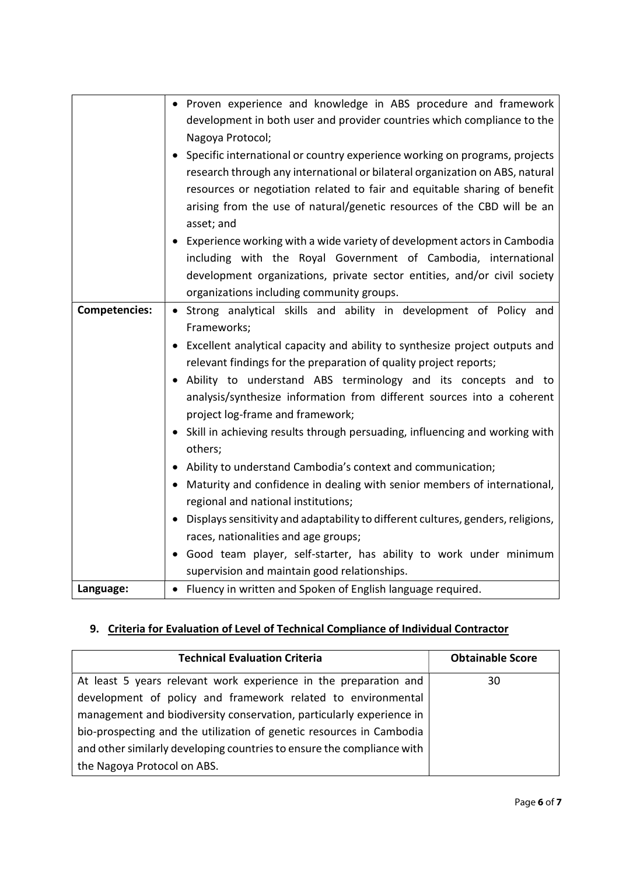|                      | • Proven experience and knowledge in ABS procedure and framework                                                                                           |  |  |
|----------------------|------------------------------------------------------------------------------------------------------------------------------------------------------------|--|--|
|                      | development in both user and provider countries which compliance to the<br>Nagoya Protocol;                                                                |  |  |
|                      |                                                                                                                                                            |  |  |
|                      | Specific international or country experience working on programs, projects<br>research through any international or bilateral organization on ABS, natural |  |  |
|                      | resources or negotiation related to fair and equitable sharing of benefit                                                                                  |  |  |
|                      | arising from the use of natural/genetic resources of the CBD will be an                                                                                    |  |  |
|                      | asset; and                                                                                                                                                 |  |  |
|                      | Experience working with a wide variety of development actors in Cambodia                                                                                   |  |  |
|                      | including with the Royal Government of Cambodia, international                                                                                             |  |  |
|                      | development organizations, private sector entities, and/or civil society                                                                                   |  |  |
|                      | organizations including community groups.                                                                                                                  |  |  |
| <b>Competencies:</b> | Strong analytical skills and ability in development of Policy and                                                                                          |  |  |
|                      | Frameworks;                                                                                                                                                |  |  |
|                      | Excellent analytical capacity and ability to synthesize project outputs and                                                                                |  |  |
|                      | relevant findings for the preparation of quality project reports;                                                                                          |  |  |
|                      | • Ability to understand ABS terminology and its concepts and to                                                                                            |  |  |
|                      | analysis/synthesize information from different sources into a coherent                                                                                     |  |  |
|                      | project log-frame and framework;                                                                                                                           |  |  |
|                      | • Skill in achieving results through persuading, influencing and working with<br>others;                                                                   |  |  |
|                      | Ability to understand Cambodia's context and communication;                                                                                                |  |  |
|                      | Maturity and confidence in dealing with senior members of international,                                                                                   |  |  |
|                      | regional and national institutions;                                                                                                                        |  |  |
|                      | Displays sensitivity and adaptability to different cultures, genders, religions,                                                                           |  |  |
|                      | races, nationalities and age groups;                                                                                                                       |  |  |
|                      | Good team player, self-starter, has ability to work under minimum                                                                                          |  |  |
|                      | supervision and maintain good relationships.                                                                                                               |  |  |
| Language:            | • Fluency in written and Spoken of English language required.                                                                                              |  |  |

# 9. Criteria for Evaluation of Level of Technical Compliance of Individual Contractor

| <b>Technical Evaluation Criteria</b>                                   | <b>Obtainable Score</b> |
|------------------------------------------------------------------------|-------------------------|
|                                                                        |                         |
| At least 5 years relevant work experience in the preparation and       | 30                      |
| development of policy and framework related to environmental           |                         |
| management and biodiversity conservation, particularly experience in   |                         |
| bio-prospecting and the utilization of genetic resources in Cambodia   |                         |
| and other similarly developing countries to ensure the compliance with |                         |
| the Nagoya Protocol on ABS.                                            |                         |